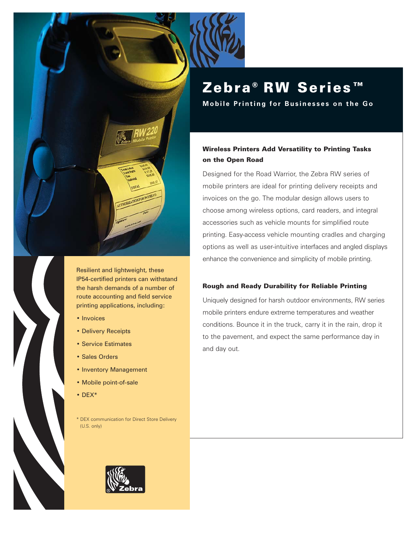

Resilient and lightweight, these IP54-certified printers can withstand the harsh demands of a number of route accounting and field service printing applications, including:

- Invoices
- Delivery Receipts
- Service Estimates
- Sales Orders
- Inventory Management
- Mobile point-of-sale
- DEX\*

\* DEX communication for Direct Store Delivery (U.S. only)

# Zebra ® RW Series*™*

**Mobile Printing for Businesses on the Go**

### Wireless Printers Add Versatility to Printing Tasks on the Open Road

Designed for the Road Warrior, the Zebra RW series of mobile printers are ideal for printing delivery receipts and invoices on the go. The modular design allows users to choose among wireless options, card readers, and integral accessories such as vehicle mounts for simplified route printing. Easy-access vehicle mounting cradles and charging options as well as user-intuitive interfaces and angled displays enhance the convenience and simplicity of mobile printing.

### Rough and Ready Durability for Reliable Printing

Uniquely designed for harsh outdoor environments, RW series mobile printers endure extreme temperatures and weather conditions. Bounce it in the truck, carry it in the rain, drop it to the pavement, and expect the same performance day in and day out.

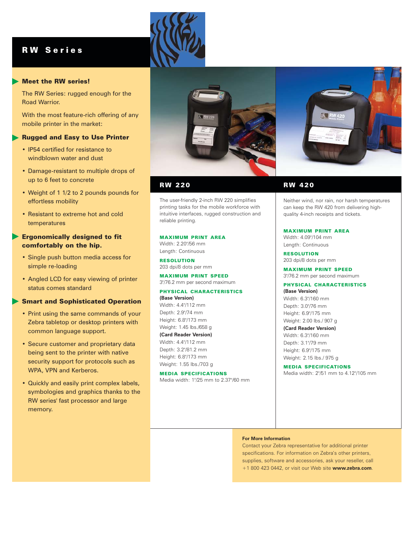### RW Series

#### Meet the RW series!

The RW Series: rugged enough for the Road Warrior.

With the most feature-rich offering of any mobile printer in the market:

#### Rugged and Easy to Use Printer

- IP54 certified for resistance to windblown water and dust
- Damage-resistant to multiple drops of up to 6 feet to concrete
- Weight of 1 1/2 to 2 pounds pounds for effortless mobility
- Resistant to extreme hot and cold temperatures

#### Ergonomically designed to fit comfortably on the hip.

- Single push button media access for simple re-loading
- Angled LCD for easy viewing of printer status comes standard

#### Smart and Sophisticated Operation

- Print using the same commands of your Zebra tabletop or desktop printers with common language support.
- Secure customer and proprietary data being sent to the printer with native security support for protocols such as WPA, VPN and Kerberos.
- Quickly and easily print complex labels, symbologies and graphics thanks to the RW series' fast processor and large memory.



#### RW 220

The user-friendly 2-inch RW 220 simplifies printing tasks for the mobile workforce with intuitive interfaces, rugged construction and reliable printing.

#### MAXIMUM PRINT AREA Width: 2.20"/56 mm

Length: Continuous

RESOLUTION 203 dpi/8 dots per mm

MAXIMUM PRINT SPEED 3"/76.2 mm per second maximum

#### PHYSICAL CHARACTERISTICS **(Base Version)**

Width: 4.4"/112 mm Depth: 2.9"/74 mm Height: 6.8"/173 mm Weight: 1.45 lbs./658 g **(Card Reader Version)** Width: 4.4"/112 mm Depth: 3.2"/81.2 mm Height: 6.8"/173 mm Weight: 1.55 lbs./703 g

MEDIA SPECIFICATIONS Media width: 1"/25 mm to 2.37"/60 mm

### RW 420

Neither wind, nor rain, nor harsh temperatures can keep the RW 420 from delivering highquality 4-inch receipts and tickets.

#### MAXIMUM PRINT AREA

Width: 4.09"/104 mm Length: Continuous

RESOLUTION 203 dpi/8 dots per mm

MAXIMUM PRINT SPEED 3"/76.2 mm per second maximum

#### PHYSICAL CHARACTERISTICS **(Base Version)**

Width: 6.3"/160 mm Depth: 3.0"/76 mm Height: 6.9"/175 mm Weight: 2.00 lbs./ 907 g

#### **(Card Reader Version)**

Width: 6.3"/160 mm Depth: 3.1"/79 mm Height: 6.9"/175 mm Weight: 2.15 lbs./ 975 g

MEDIA SPECIFICATIONS Media width: 2"/51 mm to 4.12"/105 mm

#### **For More Information**

Contact your Zebra representative for additional printer specifications. For information on Zebra's other printers, supplies, software and accessories, ask your reseller, call +1 800 423 0442, or visit our Web site **www.zebra.com**.

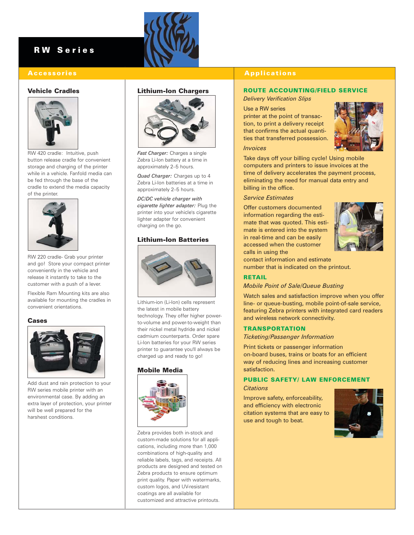## RW Series

#### Vehicle Cradles



RW 420 cradle: Intuitive, push button release cradle for convenient storage and charging of the printer while in a vehicle. Fanfold media can be fed through the base of the cradle to extend the media capacity of the printer.



RW 220 cradle- Grab your printer and go! Store your compact printer conveniently in the vehicle and release it instantly to take to the customer with a push of a lever.

Flexible Ram Mounting kits are also available for mounting the cradles in convenient orientations.

#### Cases



Add dust and rain protection to your RW series mobile printer with an environmental case. By adding an extra layer of protection, your printer will be well prepared for the harshest conditions.

#### Lithium-Ion Chargers



*Fast Charger:* Charges a single Zebra Li-Ion battery at a time in approximately 2–5 hours.

*Quad Charger:* Charges up to 4 Zebra Li-Ion batteries at a time in approximately 2–5 hours.

*DC/DC vehicle charger with cigarette lighter adapter:* Plug the printer into your vehicle's cigarette lighter adapter for convenient charging on the go.

#### Lithium-Ion Batteries



Lithium-ion (Li-Ion) cells represent the latest in mobile battery technology. They offer higher powerto-volume and power-to-weight than their nickel metal hydride and nickel cadmium counterparts. Order spare Li-Ion batteries for your RW series printer to guarantee you'll always be charged up and ready to go!

#### Mobile Media



Zebra provides both in-stock and custom-made solutions for all applications, including more than 1,000 combinations of high-quality and reliable labels, tags, and receipts. All products are designed and tested on Zebra products to ensure optimum print quality. Paper with watermarks, custom logos, and UV-resistant coatings are all available for customized and attractive printouts.

#### Accessories **Applications Applications**

#### ROUTE ACCOUNTING/FIELD SERVICE

*Delivery Verification Slips*

Use a RW series printer at the point of transaction, to print a delivery receipt that confirms the actual quantities that transferred possession.



#### *Invoices*

Take days off your billing cycle! Using mobile computers and printers to issue invoices at the time of delivery accelerates the payment process, eliminating the need for manual data entry and billing in the office.

#### *Service Estimates*

Offer customers documented information regarding the estimate that was quoted. This estimate is entered into the system in real-time and can be easily accessed when the customer calls in using the



contact information and estimate number that is indicated on the printout.

#### RETAIL

#### *Mobile Point of Sale/Queue Busting*

Watch sales and satisfaction improve when you offer line- or queue-busting, mobile point-of-sale service, featuring Zebra printers with integrated card readers and wireless network connectivity.

#### **TRANSPORTATION**

*Ticketing/Passenger Information*

Print tickets or passenger information on-board buses, trains or boats for an efficient way of reducing lines and increasing customer satisfaction.

#### PUBLIC SAFETY/ LAW ENFORCEMENT *Citations*

Improve safety, enforceability, and efficiency with electronic citation systems that are easy to use and tough to beat.